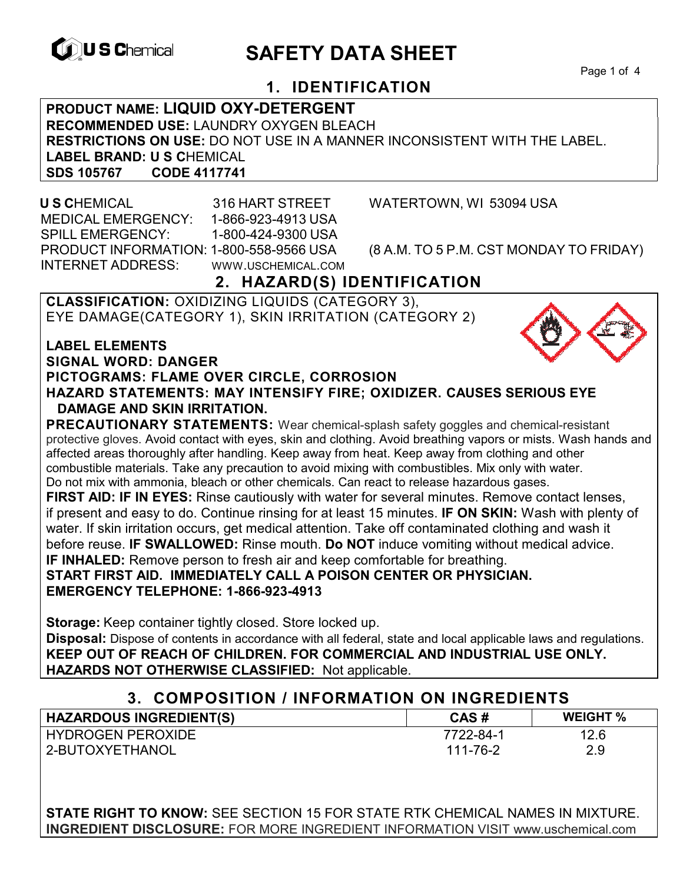

# **EXAGREM** SAFETY DATA SHEET

Page 1 of 4

## **1. IDENTIFICATION**

**PRODUCT NAME: LIQUID OXY-DETERGENT RECOMMENDED USE:** LAUNDRY OXYGEN BLEACH **RESTRICTIONS ON USE:** DO NOT USE IN A MANNER INCONSISTENT WITH THE LABEL. **LABEL BRAND: U S C**HEMICAL **SDS 105767 CODE 4117741** 

 **U S C**HEMICAL 316 HART STREET WATERTOWN, WI 53094 USA MEDICAL EMERGENCY: 1-866-923-4913 USA SPILL EMERGENCY: 1-800-424-9300 USA PRODUCT INFORMATION: 1-800-558-9566 USA (8 A.M. TO 5 P.M. CST MONDAY TO FRIDAY) INTERNET ADDRESS: WWW.USCHEMICAL.COM

## **2. HAZARD(S) IDENTIFICATION**

**CLASSIFICATION:** OXIDIZING LIQUIDS (CATEGORY 3), EYE DAMAGE(CATEGORY 1), SKIN IRRITATION (CATEGORY 2)

**LABEL ELEMENTS SIGNAL WORD: DANGER PICTOGRAMS: FLAME OVER CIRCLE, CORROSION HAZARD STATEMENTS: MAY INTENSIFY FIRE; OXIDIZER. CAUSES SERIOUS EYE** 

## **DAMAGE AND SKIN IRRITATION. PRECAUTIONARY STATEMENTS:** Wear chemical-splash safety goggles and chemical-resistant

protective gloves. Avoid contact with eyes, skin and clothing. Avoid breathing vapors or mists. Wash hands and affected areas thoroughly after handling. Keep away from heat. Keep away from clothing and other combustible materials. Take any precaution to avoid mixing with combustibles. Mix only with water. Do not mix with ammonia, bleach or other chemicals. Can react to release hazardous gases.

**FIRST AID: IF IN EYES:** Rinse cautiously with water for several minutes. Remove contact lenses, if present and easy to do. Continue rinsing for at least 15 minutes. **IF ON SKIN:** Wash with plenty of water. If skin irritation occurs, get medical attention. Take off contaminated clothing and wash it before reuse. **IF SWALLOWED:** Rinse mouth. **Do NOT** induce vomiting without medical advice. **IF INHALED:** Remove person to fresh air and keep comfortable for breathing.

#### **START FIRST AID. IMMEDIATELY CALL A POISON CENTER OR PHYSICIAN. EMERGENCY TELEPHONE: 1-866-923-4913**

**Storage:** Keep container tightly closed. Store locked up. **Disposal:** Dispose of contents in accordance with all federal, state and local applicable laws and regulations. **KEEP OUT OF REACH OF CHILDREN. FOR COMMERCIAL AND INDUSTRIAL USE ONLY. HAZARDS NOT OTHERWISE CLASSIFIED:** Not applicable.

### **3. COMPOSITION / INFORMATION ON INGREDIENTS**

| <b>HAZARDOUS INGREDIENT(S)</b> | CAS#      | <b>WEIGHT %</b> |
|--------------------------------|-----------|-----------------|
| <b>HYDROGEN PEROXIDE</b>       | 7722-84-1 | 12.6            |
| 2-BUTOXYETHANOL                | 111-76-2  | 2.9             |

**STATE RIGHT TO KNOW:** SEE SECTION 15 FOR STATE RTK CHEMICAL NAMES IN MIXTURE. **INGREDIENT DISCLOSURE:** FOR MORE INGREDIENT INFORMATION VISIT www.uschemical.com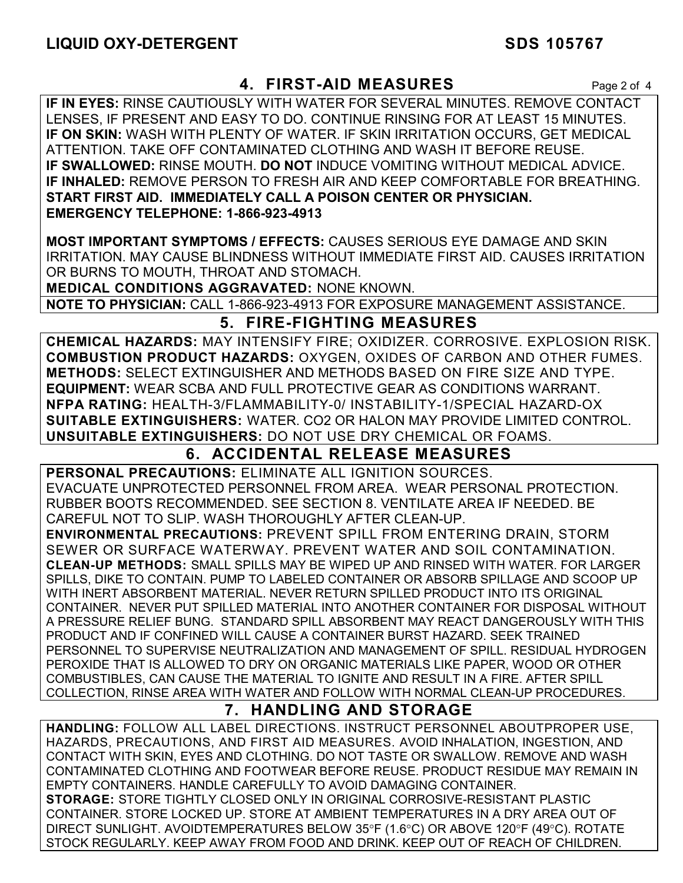## **4. FIRST-AID MEASURES** Page 2 of 4

**IF IN EYES:** RINSE CAUTIOUSLY WITH WATER FOR SEVERAL MINUTES. REMOVE CONTACT LENSES, IF PRESENT AND EASY TO DO. CONTINUE RINSING FOR AT LEAST 15 MINUTES. **IF ON SKIN:** WASH WITH PLENTY OF WATER. IF SKIN IRRITATION OCCURS, GET MEDICAL ATTENTION. TAKE OFF CONTAMINATED CLOTHING AND WASH IT BEFORE REUSE. **IF SWALLOWED:** RINSE MOUTH. **DO NOT** INDUCE VOMITING WITHOUT MEDICAL ADVICE. **IF INHALED:** REMOVE PERSON TO FRESH AIR AND KEEP COMFORTABLE FOR BREATHING. **START FIRST AID. IMMEDIATELY CALL A POISON CENTER OR PHYSICIAN. EMERGENCY TELEPHONE: 1-866-923-4913** 

**MOST IMPORTANT SYMPTOMS / EFFECTS:** CAUSES SERIOUS EYE DAMAGE AND SKIN IRRITATION. MAY CAUSE BLINDNESS WITHOUT IMMEDIATE FIRST AID. CAUSES IRRITATION OR BURNS TO MOUTH, THROAT AND STOMACH.

**MEDICAL CONDITIONS AGGRAVATED:** NONE KNOWN.

**NOTE TO PHYSICIAN:** CALL 1-866-923-4913 FOR EXPOSURE MANAGEMENT ASSISTANCE.

## **5. FIRE-FIGHTING MEASURES**

**CHEMICAL HAZARDS:** MAY INTENSIFY FIRE; OXIDIZER. CORROSIVE. EXPLOSION RISK. **COMBUSTION PRODUCT HAZARDS:** OXYGEN, OXIDES OF CARBON AND OTHER FUMES. **METHODS:** SELECT EXTINGUISHER AND METHODS BASED ON FIRE SIZE AND TYPE. **EQUIPMENT:** WEAR SCBA AND FULL PROTECTIVE GEAR AS CONDITIONS WARRANT. **NFPA RATING:** HEALTH-3/FLAMMABILITY-0/ INSTABILITY-1/SPECIAL HAZARD-OX **SUITABLE EXTINGUISHERS:** WATER. CO2 OR HALON MAY PROVIDE LIMITED CONTROL. **UNSUITABLE EXTINGUISHERS:** DO NOT USE DRY CHEMICAL OR FOAMS.

## **6. ACCIDENTAL RELEASE MEASURES**

**PERSONAL PRECAUTIONS:** ELIMINATE ALL IGNITION SOURCES. EVACUATE UNPROTECTED PERSONNEL FROM AREA. WEAR PERSONAL PROTECTION. RUBBER BOOTS RECOMMENDED. SEE SECTION 8. VENTILATE AREA IF NEEDED. BE CAREFUL NOT TO SLIP. WASH THOROUGHLY AFTER CLEAN-UP.

**ENVIRONMENTAL PRECAUTIONS:** PREVENT SPILL FROM ENTERING DRAIN, STORM SEWER OR SURFACE WATERWAY. PREVENT WATER AND SOIL CONTAMINATION. **CLEAN-UP METHODS:** SMALL SPILLS MAY BE WIPED UP AND RINSED WITH WATER. FOR LARGER SPILLS, DIKE TO CONTAIN. PUMP TO LABELED CONTAINER OR ABSORB SPILLAGE AND SCOOP UP WITH INERT ABSORBENT MATERIAL. NEVER RETURN SPILLED PRODUCT INTO ITS ORIGINAL CONTAINER. NEVER PUT SPILLED MATERIAL INTO ANOTHER CONTAINER FOR DISPOSAL WITHOUT A PRESSURE RELIEF BUNG. STANDARD SPILL ABSORBENT MAY REACT DANGEROUSLY WITH THIS PRODUCT AND IF CONFINED WILL CAUSE A CONTAINER BURST HAZARD. SEEK TRAINED PERSONNEL TO SUPERVISE NEUTRALIZATION AND MANAGEMENT OF SPILL. RESIDUAL HYDROGEN PEROXIDE THAT IS ALLOWED TO DRY ON ORGANIC MATERIALS LIKE PAPER, WOOD OR OTHER COMBUSTIBLES, CAN CAUSE THE MATERIAL TO IGNITE AND RESULT IN A FIRE. AFTER SPILL COLLECTION, RINSE AREA WITH WATER AND FOLLOW WITH NORMAL CLEAN-UP PROCEDURES.

## **7. HANDLING AND STORAGE**

**HANDLING:** FOLLOW ALL LABEL DIRECTIONS. INSTRUCT PERSONNEL ABOUTPROPER USE, HAZARDS, PRECAUTIONS, AND FIRST AID MEASURES. AVOID INHALATION, INGESTION, AND CONTACT WITH SKIN, EYES AND CLOTHING. DO NOT TASTE OR SWALLOW. REMOVE AND WASH CONTAMINATED CLOTHING AND FOOTWEAR BEFORE REUSE. PRODUCT RESIDUE MAY REMAIN IN EMPTY CONTAINERS. HANDLE CAREFULLY TO AVOID DAMAGING CONTAINER. **STORAGE:** STORE TIGHTLY CLOSED ONLY IN ORIGINAL CORROSIVE-RESISTANT PLASTIC CONTAINER. STORE LOCKED UP. STORE AT AMBIENT TEMPERATURES IN A DRY AREA OUT OF DIRECT SUNLIGHT. AVOIDTEMPERATURES BELOW 35°F (1.6°C) OR ABOVE 120°F (49°C). ROTATE STOCK REGULARLY. KEEP AWAY FROM FOOD AND DRINK. KEEP OUT OF REACH OF CHILDREN.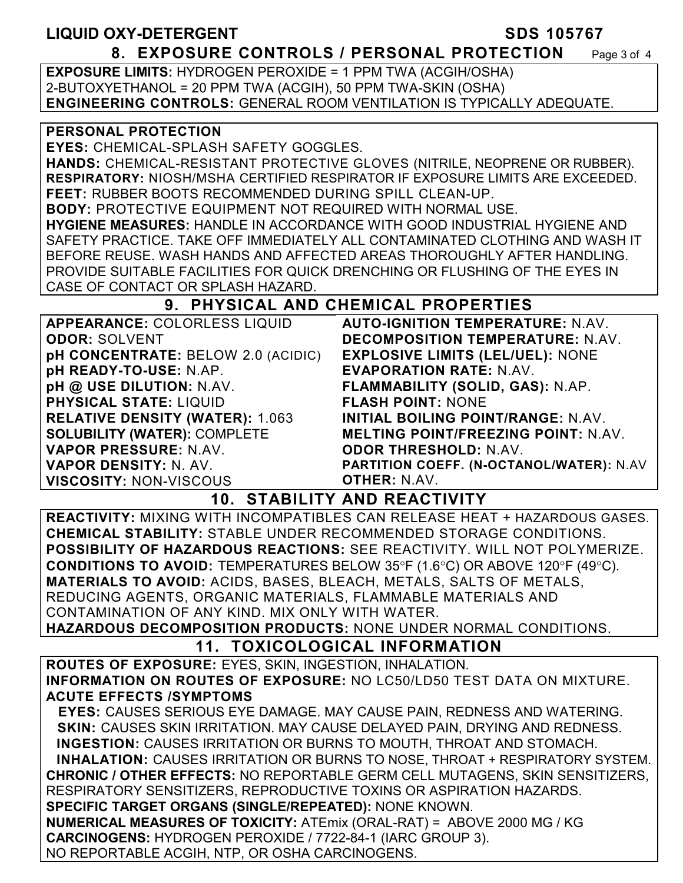#### LIQUID OXY-DETERGENT SDS 105767 **8. EXPOSURE CONTROLS / PERSONAL PROTECTION** Page 3 of 4

**EXPOSURE LIMITS:** HYDROGEN PEROXIDE = 1 PPM TWA (ACGIH/OSHA) 2-BUTOXYETHANOL = 20 PPM TWA (ACGIH), 50 PPM TWA-SKIN (OSHA) **ENGINEERING CONTROLS:** GENERAL ROOM VENTILATION IS TYPICALLY ADEQUATE.

#### **PERSONAL PROTECTION**

**EYES:** CHEMICAL-SPLASH SAFETY GOGGLES.

**HANDS:** CHEMICAL-RESISTANT PROTECTIVE GLOVES (NITRILE, NEOPRENE OR RUBBER). **RESPIRATORY:** NIOSH/MSHA CERTIFIED RESPIRATOR IF EXPOSURE LIMITS ARE EXCEEDED. **FEET:** RUBBER BOOTS RECOMMENDED DURING SPILL CLEAN-UP.

**BODY:** PROTECTIVE EQUIPMENT NOT REQUIRED WITH NORMAL USE. **HYGIENE MEASURES:** HANDLE IN ACCORDANCE WITH GOOD INDUSTRIAL HYGIENE AND SAFETY PRACTICE. TAKE OFF IMMEDIATELY ALL CONTAMINATED CLOTHING AND WASH IT BEFORE REUSE. WASH HANDS AND AFFECTED AREAS THOROUGHLY AFTER HANDLING. PROVIDE SUITABLE FACILITIES FOR QUICK DRENCHING OR FLUSHING OF THE EYES IN CASE OF CONTACT OR SPLASH HAZARD.

## **9. PHYSICAL AND CHEMICAL PROPERTIES**

| <b>APPEARANCE: COLORLESS LIQUID</b>    | <b>AUTO-IGNITION TEMPERATURE: N.AV.</b>    |
|----------------------------------------|--------------------------------------------|
| <b>ODOR: SOLVENT</b>                   | <b>DECOMPOSITION TEMPERATURE: N.AV.</b>    |
| pH CONCENTRATE: BELOW 2.0 (ACIDIC)     | <b>EXPLOSIVE LIMITS (LEL/UEL): NONE</b>    |
| pH READY-TO-USE: N.AP.                 | <b>EVAPORATION RATE: N.AV.</b>             |
| pH @ USE DILUTION: N.AV.               | FLAMMABILITY (SOLID, GAS): N.AP.           |
| <b>PHYSICAL STATE: LIQUID</b>          | <b>FLASH POINT: NONE</b>                   |
| <b>RELATIVE DENSITY (WATER): 1.063</b> | INITIAL BOILING POINT/RANGE: N.AV.         |
| <b>SOLUBILITY (WATER): COMPLETE</b>    | <b>MELTING POINT/FREEZING POINT: N.AV.</b> |
| VAPOR PRESSURE: N.AV.                  | <b>ODOR THRESHOLD: N.AV.</b>               |
| VAPOR DENSITY: N. AV.                  | PARTITION COEFF. (N-OCTANOL/WATER): N.AV   |
| <b>VISCOSITY: NON-VISCOUS</b>          | <b>OTHER: N.AV.</b>                        |

## **10. STABILITY AND REACTIVITY**

**REACTIVITY:** MIXING WITH INCOMPATIBLES CAN RELEASE HEAT + HAZARDOUS GASES. **CHEMICAL STABILITY:** STABLE UNDER RECOMMENDED STORAGE CONDITIONS. **POSSIBILITY OF HAZARDOUS REACTIONS:** SEE REACTIVITY. WILL NOT POLYMERIZE. **CONDITIONS TO AVOID:** TEMPERATURES BELOW 35°F (1.6°C) OR ABOVE 120°F (49°C). **MATERIALS TO AVOID:** ACIDS, BASES, BLEACH, METALS, SALTS OF METALS, REDUCING AGENTS, ORGANIC MATERIALS, FLAMMABLE MATERIALS AND CONTAMINATION OF ANY KIND. MIX ONLY WITH WATER.

**HAZARDOUS DECOMPOSITION PRODUCTS:** NONE UNDER NORMAL CONDITIONS.

## **11. TOXICOLOGICAL INFORMATION**

**ROUTES OF EXPOSURE:** EYES, SKIN, INGESTION, INHALATION. **INFORMATION ON ROUTES OF EXPOSURE:** NO LC50/LD50 TEST DATA ON MIXTURE. **ACUTE EFFECTS /SYMPTOMS**

 **EYES:** CAUSES SERIOUS EYE DAMAGE. MAY CAUSE PAIN, REDNESS AND WATERING. **SKIN:** CAUSES SKIN IRRITATION. MAY CAUSE DELAYED PAIN, DRYING AND REDNESS. **INGESTION:** CAUSES IRRITATION OR BURNS TO MOUTH, THROAT AND STOMACH. **INHALATION:** CAUSES IRRITATION OR BURNS TO NOSE, THROAT + RESPIRATORY SYSTEM. **CHRONIC / OTHER EFFECTS:** NO REPORTABLE GERM CELL MUTAGENS, SKIN SENSITIZERS, RESPIRATORY SENSITIZERS, REPRODUCTIVE TOXINS OR ASPIRATION HAZARDS. **SPECIFIC TARGET ORGANS (SINGLE/REPEATED):** NONE KNOWN. **NUMERICAL MEASURES OF TOXICITY:** ATEmix (ORAL-RAT) = ABOVE 2000 MG / KG **CARCINOGENS:** HYDROGEN PEROXIDE / 7722-84-1 (IARC GROUP 3). NO REPORTABLE ACGIH, NTP, OR OSHA CARCINOGENS.